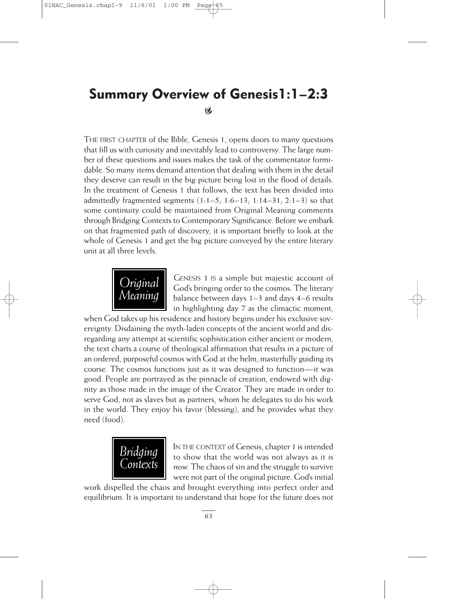## Summary Overview of Genesis1:1–2:3 !

THE FIRST CHAPTER of the Bible, Genesis 1, opens doors to many questions that fill us with curiosity and inevitably lead to controversy. The large number of these questions and issues makes the task of the commentator formidable. So many items demand attention that dealing with them in the detail they deserve can result in the big picture being lost in the flood of details. In the treatment of Genesis 1 that follows, the text has been divided into admittedly fragmented segments  $(1:1-5; 1:6-13; 1:14-31; 2:1-3)$  so that some continuity could be maintained from Original Meaning comments through Bridging Contexts to Contemporary Significance. Before we embark on that fragmented path of discovery, it is important briefly to look at the whole of Genesis 1 and get the big picture conveyed by the entire literary unit at all three levels.



GENESIS 1 IS a simple but majestic account of God's bringing order to the cosmos. The literary balance between days 1–3 and days 4–6 results in highlighting day 7 as the climactic moment,

when God takes up his residence and history begins under his exclusive sovereignty. Disdaining the myth-laden concepts of the ancient world and disregarding any attempt at scientific sophistication either ancient or modern, the text charts a course of theological affirmation that results in a picture of an ordered, purposeful cosmos with God at the helm, masterfully guiding its course. The cosmos functions just as it was designed to function—it was good. People are portrayed as the pinnacle of creation, endowed with dignity as those made in the image of the Creator. They are made in order to serve God, not as slaves but as partners, whom he delegates to do his work in the world. They enjoy his favor (blessing), and he provides what they need (food).



IN THE CONTEXT of Genesis, chapter 1 is intended to show that the world was not always as it is now. The chaos of sin and the struggle to survive were not part of the original picture. God's initial

work dispelled the chaos and brought everything into perfect order and equilibrium. It is important to understand that hope for the future does not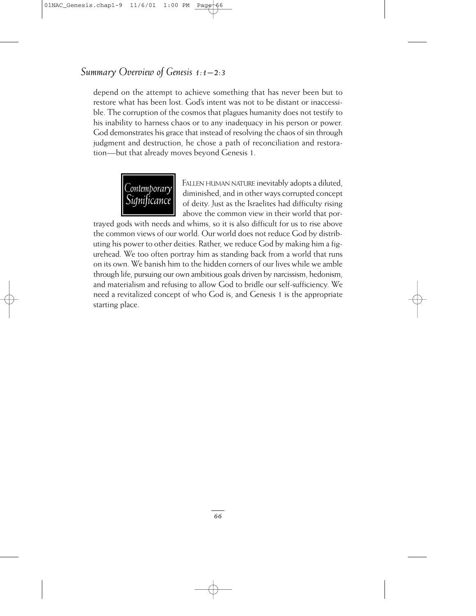## *Summary Overview of Genesis 1:1–2:3*

depend on the attempt to achieve something that has never been but to restore what has been lost. God's intent was not to be distant or inaccessible. The corruption of the cosmos that plagues humanity does not testify to his inability to harness chaos or to any inadequacy in his person or power. God demonstrates his grace that instead of resolving the chaos of sin through judgment and destruction, he chose a path of reconciliation and restoration—but that already moves beyond Genesis 1.



FALLEN HUMAN NATURE inevitably adopts a diluted, diminished, and in other ways corrupted concept of deity. Just as the Israelites had difficulty rising above the common view in their world that por-

trayed gods with needs and whims, so it is also difficult for us to rise above the common views of our world. Our world does not reduce God by distributing his power to other deities. Rather, we reduce God by making him a figurehead. We too often portray him as standing back from a world that runs on its own. We banish him to the hidden corners of our lives while we amble through life, pursuing our own ambitious goals driven by narcissism, hedonism, and materialism and refusing to allow God to bridle our self-sufficiency. We need a revitalized concept of who God is, and Genesis 1 is the appropriate starting place.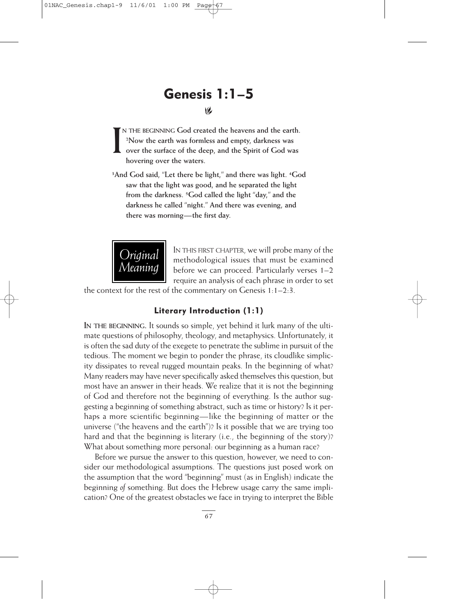## Genesis 1:1–5

!

**I N THE BEGINNING God created the heavens and the earth. 2Now the earth was formless and empty, darkness was over the surface of the deep, and the Spirit of God was hovering over the waters.**

**3And God said, "Let there be light," and there was light. 4God saw that the light was good, and he separated the light from the darkness. 5God called the light "day," and the darkness he called "night." And there was evening, and there was morning—the first day.**



IN THIS FIRST CHAPTER, we will probe many of the methodological issues that must be examined before we can proceed. Particularly verses 1–2 require an analysis of each phrase in order to set

the context for the rest of the commentary on Genesis 1:1–2:3.

## Literary Introduction (1:1)

**IN THE BEGINNING.** It sounds so simple, yet behind it lurk many of the ultimate questions of philosophy, theology, and metaphysics. Unfortunately, it is often the sad duty of the exegete to penetrate the sublime in pursuit of the tedious. The moment we begin to ponder the phrase, its cloudlike simplicity dissipates to reveal rugged mountain peaks. In the beginning of what? Many readers may have never specifically asked themselves this question, but most have an answer in their heads. We realize that it is not the beginning of God and therefore not the beginning of everything. Is the author suggesting a beginning of something abstract, such as time or history? Is it perhaps a more scientific beginning—like the beginning of matter or the universe ("the heavens and the earth")? Is it possible that we are trying too hard and that the beginning is literary (i.e., the beginning of the story)? What about something more personal: our beginning as a human race?

Before we pursue the answer to this question, however, we need to consider our methodological assumptions. The questions just posed work on the assumption that the word "beginning" must (as in English) indicate the beginning *of* something. But does the Hebrew usage carry the same implication? One of the greatest obstacles we face in trying to interpret the Bible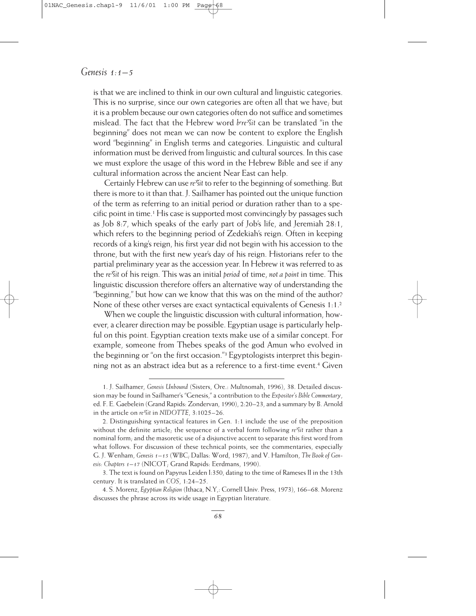is that we are inclined to think in our own cultural and linguistic categories. This is no surprise, since our own categories are often all that we have; but it is a problem because our own categories often do not suffice and sometimes mislead. The fact that the Hebrew word *btre<sup>3</sup>sit* can be translated "in the beginning" does not mean we can now be content to explore the English word "beginning" in English terms and categories. Linguistic and cultural information must be derived from linguistic and cultural sources. In this case we must explore the usage of this word in the Hebrew Bible and see if any cultural information across the ancient Near East can help.

Certainly Hebrew can use *re*<sup>3</sup>/<sub>5</sub><sup>*it*</sup> to refer to the beginning of something. But there is more to it than that. J. Sailhamer has pointed out the unique function of the term as referring to an initial period or duration rather than to a specific point in time. <sup>1</sup> His case is supported most convincingly by passages such as Job 8:7, which speaks of the early part of Job's life, and Jeremiah 28:1, which refers to the beginning period of Zedekiah's reign. Often in keeping records of a king's reign, his first year did not begin with his accession to the throne, but with the first new year's day of his reign. Historians refer to the partial preliminary year as the accession year. In Hebrew it was referred to as the *re,siht* of his reign. This was an initial *period* of time, *not a point* in time. This linguistic discussion therefore offers an alternative way of understanding the "beginning," but how can we know that this was on the mind of the author? None of these other verses are exact syntactical equivalents of Genesis 1:1.<sup>2</sup>

When we couple the linguistic discussion with cultural information, however, a clearer direction may be possible. Egyptian usage is particularly helpful on this point. Egyptian creation texts make use of a similar concept. For example, someone from Thebes speaks of the god Amun who evolved in the beginning or "on the first occasion."3 Egyptologists interpret this beginning not as an abstract idea but as a reference to a first-time event. <sup>4</sup> Given

<sup>1.</sup> J. Sailhamer, *Genesis Unbound* (Sisters, Ore.: Multnomah, 1996), 38. Detailed discussion may be found in Sailhamer's "Genesis," a contribution to the *Expositor's Bible Commentary*, ed. F. E. Gaebelein (Grand Rapids: Zondervan, 1990), 2:20–23, and a summary by B. Arnold in the article on  $re^x$ <sup>*sit*</sup> in *NIDOTTE*, 3:1025–26.

<sup>2.</sup> Distinguishing syntactical features in Gen. 1:1 include the use of the preposition without the definite article; the sequence of a verbal form following *re*<sup>2</sup>, *re* at the rthan a nominal form; and the masoretic use of a disjunctive accent to separate this first word from what follows. For discussion of these technical points, see the commentaries, especially G. J. Wenham, *Genesis 1–15* (WBC; Dallas: Word, 1987), and V. Hamilton, *The Book of Genesis: Chapters 1–17* (NICOT; Grand Rapids: Eerdmans, 1990).

<sup>3.</sup> The text is found on Papyrus Leiden I:350, dating to the time of Rameses II in the 13th century. It is translated in *COS*, 1:24–25.

<sup>4.</sup> S. Morenz, *Egyptian Religion* (Ithaca, N.Y,: Cornell Univ. Press, 1973), 166–68. Morenz discusses the phrase across its wide usage in Egyptian literature.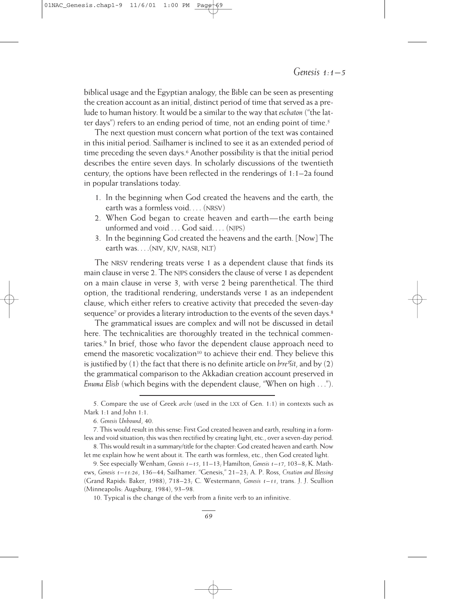biblical usage and the Egyptian analogy, the Bible can be seen as presenting the creation account as an initial, distinct period of time that served as a prelude to human history. It would be a similar to the way that *eschaton* ("the latter days") refers to an ending period of time, not an ending point of time.<sup>5</sup>

The next question must concern what portion of the text was contained in this initial period. Sailhamer is inclined to see it as an extended period of time preceding the seven days. <sup>6</sup> Another possibility is that the initial period describes the entire seven days. In scholarly discussions of the twentieth century, the options have been reflected in the renderings of 1:1–2a found in popular translations today.

- 1. In the beginning when God created the heavens and the earth, the earth was a formless void.... (NRSV)
- 2. When God began to create heaven and earth—the earth being unformed and void . . . God said. . . . (NJPS)
- 3. In the beginning God created the heavens and the earth. [Now] The earth was....(NIV, KJV, NASB, NLT)

The NRSV rendering treats verse 1 as a dependent clause that finds its main clause in verse 2. The NJPS considers the clause of verse 1 as dependent on a main clause in verse 3, with verse 2 being parenthetical. The third option, the traditional rendering, understands verse 1 as an independent clause, which either refers to creative activity that preceded the seven-day sequence<sup>7</sup> or provides a literary introduction to the events of the seven days.<sup>8</sup>

The grammatical issues are complex and will not be discussed in detail here. The technicalities are thoroughly treated in the technical commentaries.9 In brief, those who favor the dependent clause approach need to emend the masoretic vocalization<sup>10</sup> to achieve their end. They believe this is justified by (1) the fact that there is no definite article on *bere*<sup>2</sup> sit, and by (2) the grammatical comparison to the Akkadian creation account preserved in *Enuma Elish* (which begins with the dependent clause, "When on high . . .").

10. Typical is the change of the verb from a finite verb to an infinitive.

<sup>5.</sup> Compare the use of Greek *arche* (used in the LXX of Gen. 1:1) in contexts such as Mark 1:1 and John 1:1.

<sup>6.</sup> *Genesis Unbound*, 40.

<sup>7.</sup> This would result in this sense: First God created heaven and earth, resulting in a formless and void situation; this was then rectified by creating light, etc., over a seven-day period.

<sup>8.</sup> This would result in a summary/title for the chapter: God created heaven and earth. Now let me explain how he went about it. The earth was formless, etc., then God created light.

<sup>9.</sup> See especially Wenham, *Genesis 1–15*, 11–13; Hamilton, *Genesis 1–17*, 103–8; K. Mathews, *Genesis 1–11:26*, 136–44; Sailhamer. "Genesis," 21–23; A. P. Ross, *Creation and Blessing* (Grand Rapids: Baker, 1988), 718–23; C. Westermann, *Genesis 1–11*, trans. J. J. Scullion (Minneapolis: Augsburg, 1984), 93–98.